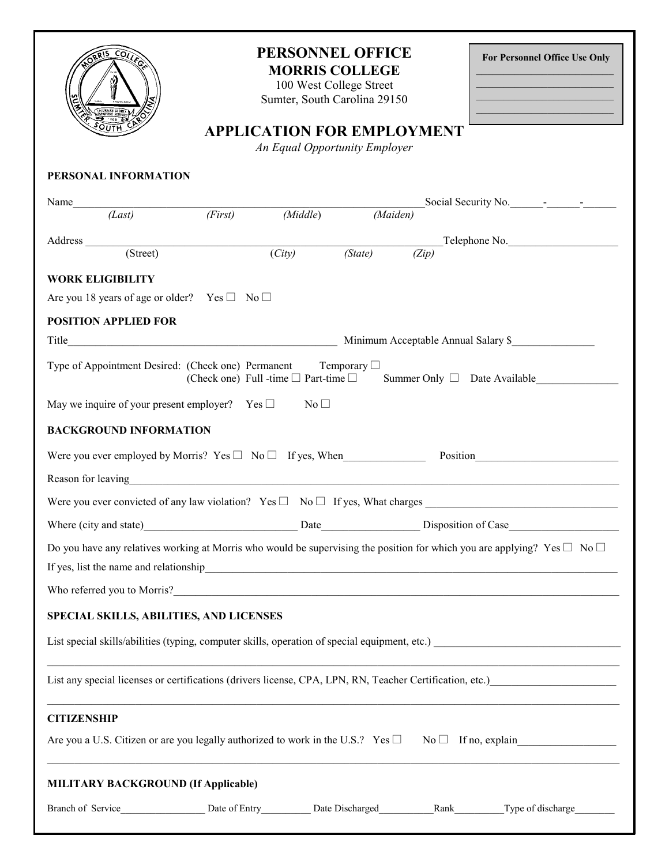| COLLEGY<br>INTRARE LIBRIS<br>SOUTH                                                                                                 | PERSONNEL OFFICE<br><b>MORRIS COLLEGE</b><br>100 West College Street<br>Sumter, South Carolina 29150<br><b>APPLICATION FOR EMPLOYMENT</b><br>An Equal Opportunity Employer |          |                                                              | For Personnel Office Use Only<br><u> 1989 - Johann Barbara, martxa alemani</u> ar a<br>the control of the control of the control of the control of the<br>the control of the control of the control of the control of the control of<br><u> Alexandria de la construcción de la construcción de la construcción de la construcción de la construcción de l</u> |  |  |  |
|------------------------------------------------------------------------------------------------------------------------------------|----------------------------------------------------------------------------------------------------------------------------------------------------------------------------|----------|--------------------------------------------------------------|----------------------------------------------------------------------------------------------------------------------------------------------------------------------------------------------------------------------------------------------------------------------------------------------------------------------------------------------------------------|--|--|--|
| PERSONAL INFORMATION                                                                                                               |                                                                                                                                                                            |          |                                                              |                                                                                                                                                                                                                                                                                                                                                                |  |  |  |
|                                                                                                                                    |                                                                                                                                                                            |          |                                                              | Social Security No.                                                                                                                                                                                                                                                                                                                                            |  |  |  |
| Name $(Last)$ ( <i>First</i> )<br>$\overline{(First)}$                                                                             | (Middle)                                                                                                                                                                   | (Maiden) |                                                              |                                                                                                                                                                                                                                                                                                                                                                |  |  |  |
|                                                                                                                                    |                                                                                                                                                                            |          |                                                              |                                                                                                                                                                                                                                                                                                                                                                |  |  |  |
| Address (Street) $(City)$ $(State)$ $(Zip)$ Telephone No.                                                                          |                                                                                                                                                                            |          |                                                              |                                                                                                                                                                                                                                                                                                                                                                |  |  |  |
| <b>WORK ELIGIBILITY</b>                                                                                                            |                                                                                                                                                                            |          |                                                              |                                                                                                                                                                                                                                                                                                                                                                |  |  |  |
| Are you 18 years of age or older? Yes $\Box$ No $\Box$                                                                             |                                                                                                                                                                            |          |                                                              |                                                                                                                                                                                                                                                                                                                                                                |  |  |  |
| <b>POSITION APPLIED FOR</b>                                                                                                        |                                                                                                                                                                            |          |                                                              |                                                                                                                                                                                                                                                                                                                                                                |  |  |  |
|                                                                                                                                    | Minimum Acceptable Annual Salary \$                                                                                                                                        |          |                                                              |                                                                                                                                                                                                                                                                                                                                                                |  |  |  |
| Type of Appointment Desired: (Check one) Permanent Temporary $\Box$                                                                |                                                                                                                                                                            |          |                                                              | (Check one) Full -time $\Box$ Part-time $\Box$ Summer Only $\Box$ Date Available                                                                                                                                                                                                                                                                               |  |  |  |
| May we inquire of your present employer? Yes $\Box$ No $\Box$                                                                      |                                                                                                                                                                            |          |                                                              |                                                                                                                                                                                                                                                                                                                                                                |  |  |  |
| <b>BACKGROUND INFORMATION</b>                                                                                                      |                                                                                                                                                                            |          |                                                              |                                                                                                                                                                                                                                                                                                                                                                |  |  |  |
| Were you ever employed by Morris? $Yes \Box No \Box$ If yes, When Position Position                                                |                                                                                                                                                                            |          |                                                              |                                                                                                                                                                                                                                                                                                                                                                |  |  |  |
|                                                                                                                                    |                                                                                                                                                                            |          |                                                              |                                                                                                                                                                                                                                                                                                                                                                |  |  |  |
| Were you ever convicted of any law violation? $Yes \Box No \Box If yes$ , What charges                                             |                                                                                                                                                                            |          |                                                              |                                                                                                                                                                                                                                                                                                                                                                |  |  |  |
|                                                                                                                                    |                                                                                                                                                                            |          | Disposition of Case<br><u> 1990 - Johann Barbara, martxa</u> |                                                                                                                                                                                                                                                                                                                                                                |  |  |  |
| Do you have any relatives working at Morris who would be supervising the position for which you are applying? Yes $\Box$ No $\Box$ |                                                                                                                                                                            |          |                                                              |                                                                                                                                                                                                                                                                                                                                                                |  |  |  |
|                                                                                                                                    |                                                                                                                                                                            |          |                                                              |                                                                                                                                                                                                                                                                                                                                                                |  |  |  |
|                                                                                                                                    |                                                                                                                                                                            |          |                                                              |                                                                                                                                                                                                                                                                                                                                                                |  |  |  |
|                                                                                                                                    |                                                                                                                                                                            |          |                                                              |                                                                                                                                                                                                                                                                                                                                                                |  |  |  |
| SPECIAL SKILLS, ABILITIES, AND LICENSES                                                                                            |                                                                                                                                                                            |          |                                                              |                                                                                                                                                                                                                                                                                                                                                                |  |  |  |
|                                                                                                                                    |                                                                                                                                                                            |          |                                                              |                                                                                                                                                                                                                                                                                                                                                                |  |  |  |
|                                                                                                                                    |                                                                                                                                                                            |          |                                                              |                                                                                                                                                                                                                                                                                                                                                                |  |  |  |
| <b>CITIZENSHIP</b>                                                                                                                 |                                                                                                                                                                            |          |                                                              |                                                                                                                                                                                                                                                                                                                                                                |  |  |  |
|                                                                                                                                    |                                                                                                                                                                            |          |                                                              |                                                                                                                                                                                                                                                                                                                                                                |  |  |  |
| <b>MILITARY BACKGROUND (If Applicable)</b>                                                                                         |                                                                                                                                                                            |          |                                                              |                                                                                                                                                                                                                                                                                                                                                                |  |  |  |
|                                                                                                                                    |                                                                                                                                                                            |          |                                                              |                                                                                                                                                                                                                                                                                                                                                                |  |  |  |